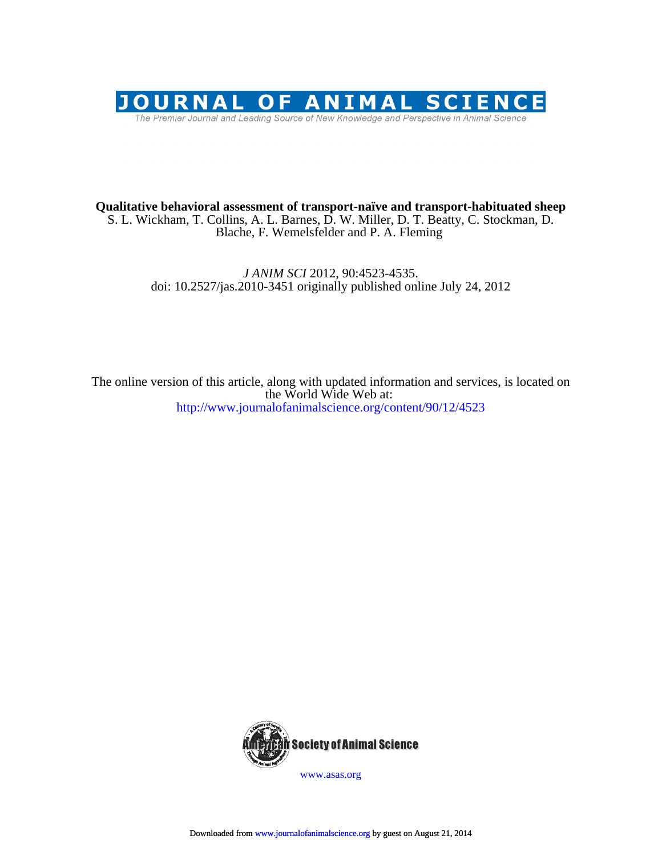

# Blache, F. Wemelsfelder and P. A. Fleming S. L. Wickham, T. Collins, A. L. Barnes, D. W. Miller, D. T. Beatty, C. Stockman, D. **Qualitative behavioral assessment of transport-naïve and transport-habituated sheep**

doi: 10.2527/jas.2010-3451 originally published online July 24, 2012 *J ANIM SCI* 2012, 90:4523-4535.

[http://www.journalofanimalscience.org/content/90/12/4523](http://http://www.journalofanimalscience.org/content/90/12/4523) the World Wide Web at: The online version of this article, along with updated information and services, is located on



[www.asas.org](http://www.asas.org/)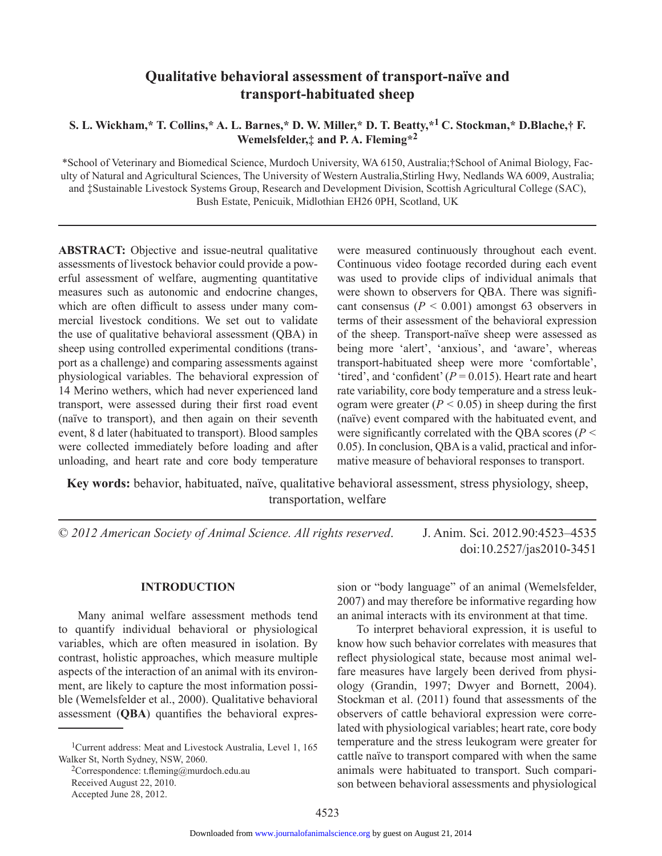# **Qualitative behavioral assessment of transport-naïve and transport-habituated sheep**

**S. L. Wickham,\* T. Collins,\* A. L. Barnes,\* D. W. Miller,\* D. T. Beatty,\*1 C. Stockman,\* D.Blache,† F. Wemelsfelder,‡ and P. A. Fleming\*2**

\*School of Veterinary and Biomedical Science, Murdoch University, WA 6150, Australia;†School of Animal Biology, Faculty of Natural and Agricultural Sciences, The University of Western Australia,Stirling Hwy, Nedlands WA 6009, Australia; and ‡Sustainable Livestock Systems Group, Research and Development Division, Scottish Agricultural College (SAC), Bush Estate, Penicuik, Midlothian EH26 0PH, Scotland, UK

**ABSTRACT:** Objective and issue-neutral qualitative assessments of livestock behavior could provide a powerful assessment of welfare, augmenting quantitative measures such as autonomic and endocrine changes, which are often difficult to assess under many commercial livestock conditions. We set out to validate the use of qualitative behavioral assessment (QBA) in sheep using controlled experimental conditions (transport as a challenge) and comparing assessments against physiological variables. The behavioral expression of 14 Merino wethers, which had never experienced land transport, were assessed during their first road event (naïve to transport), and then again on their seventh event, 8 d later (habituated to transport). Blood samples were collected immediately before loading and after unloading, and heart rate and core body temperature

were measured continuously throughout each event. Continuous video footage recorded during each event was used to provide clips of individual animals that were shown to observers for OBA. There was significant consensus ( $P < 0.001$ ) amongst 63 observers in terms of their assessment of the behavioral expression of the sheep. Transport-naïve sheep were assessed as being more 'alert', 'anxious', and 'aware', whereas transport-habituated sheep were more 'comfortable', 'tired', and 'confident' ( $P = 0.015$ ). Heart rate and heart rate variability, core body temperature and a stress leukogram were greater  $(P < 0.05)$  in sheep during the first (naïve) event compared with the habituated event, and were significantly correlated with the QBA scores ( $P <$ 0.05). In conclusion, QBA is a valid, practical and informative measure of behavioral responses to transport.

**Key words:** behavior, habituated, naïve, qualitative behavioral assessment, stress physiology, sheep, transportation, welfare

© *2012 American Society of Animal Science. All rights reserved*. J. Anim. Sci. 2012.90:4523–4535 doi:10.2527/jas2010-3451

# **INTRODUCTION**

Many animal welfare assessment methods tend to quantify individual behavioral or physiological variables, which are often measured in isolation. By contrast, holistic approaches, which measure multiple aspects of the interaction of an animal with its environment, are likely to capture the most information possible (Wemelsfelder et al., 2000). Qualitative behavioral assessment (QBA) quantifies the behavioral expres-

<sup>2</sup>Correspondence: t.fleming@murdoch.edu.au Received August 22, 2010. Accepted June 28, 2012.

sion or "body language" of an animal (Wemelsfelder, 2007) and may therefore be informative regarding how an animal interacts with its environment at that time.

To interpret behavioral expression, it is useful to know how such behavior correlates with measures that reflect physiological state, because most animal welfare measures have largely been derived from physiology (Grandin, 1997; Dwyer and Bornett, 2004). Stockman et al. (2011) found that assessments of the observers of cattle behavioral expression were correlated with physiological variables; heart rate, core body temperature and the stress leukogram were greater for cattle naïve to transport compared with when the same animals were habituated to transport. Such comparison between behavioral assessments and physiological

<sup>&</sup>lt;sup>1</sup>Current address: Meat and Livestock Australia, Level 1, 165 Walker St, North Sydney, NSW, 2060.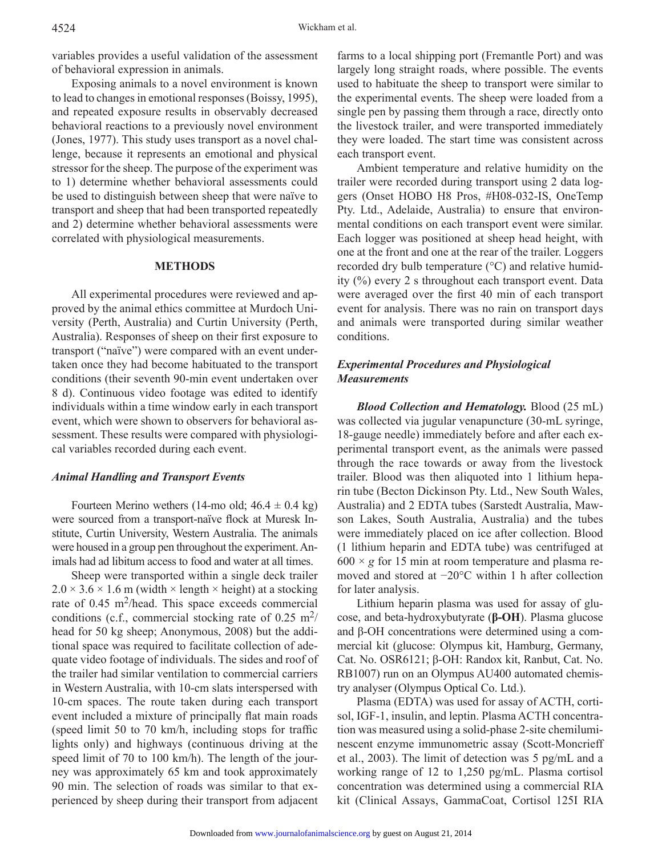variables provides a useful validation of the assessment of behavioral expression in animals.

Exposing animals to a novel environment is known to lead to changes in emotional responses (Boissy, 1995), and repeated exposure results in observably decreased behavioral reactions to a previously novel environment (Jones, 1977). This study uses transport as a novel challenge, because it represents an emotional and physical stressor for the sheep. The purpose of the experiment was to 1) determine whether behavioral assessments could be used to distinguish between sheep that were naïve to transport and sheep that had been transported repeatedly and 2) determine whether behavioral assessments were correlated with physiological measurements.

#### **METHODS**

All experimental procedures were reviewed and approved by the animal ethics committee at Murdoch University (Perth, Australia) and Curtin University (Perth, Australia). Responses of sheep on their first exposure to transport ("naïve") were compared with an event undertaken once they had become habituated to the transport conditions (their seventh 90-min event undertaken over 8 d). Continuous video footage was edited to identify individuals within a time window early in each transport event, which were shown to observers for behavioral assessment. These results were compared with physiological variables recorded during each event.

#### *Animal Handling and Transport Events*

Fourteen Merino wethers (14-mo old;  $46.4 \pm 0.4$  kg) were sourced from a transport-naïve flock at Muresk Institute, Curtin University, Western Australia. The animals were housed in a group pen throughout the experiment. Animals had ad libitum access to food and water at all times.

Sheep were transported within a single deck trailer  $2.0 \times 3.6 \times 1.6$  m (width  $\times$  length  $\times$  height) at a stocking rate of 0.45 m<sup>2</sup>/head. This space exceeds commercial conditions (c.f., commercial stocking rate of  $0.25 \text{ m}^2$ ) head for 50 kg sheep; Anonymous, 2008) but the additional space was required to facilitate collection of adequate video footage of individuals. The sides and roof of the trailer had similar ventilation to commercial carriers in Western Australia, with 10-cm slats interspersed with 10-cm spaces. The route taken during each transport event included a mixture of principally flat main roads (speed limit 50 to 70 km/h, including stops for traffic lights only) and highways (continuous driving at the speed limit of 70 to 100 km/h). The length of the journey was approximately 65 km and took approximately 90 min. The selection of roads was similar to that experienced by sheep during their transport from adjacent

farms to a local shipping port (Fremantle Port) and was largely long straight roads, where possible. The events used to habituate the sheep to transport were similar to the experimental events. The sheep were loaded from a single pen by passing them through a race, directly onto the livestock trailer, and were transported immediately they were loaded. The start time was consistent across each transport event.

Ambient temperature and relative humidity on the trailer were recorded during transport using 2 data loggers (Onset HOBO H8 Pros, #H08-032-IS, OneTemp Pty. Ltd., Adelaide, Australia) to ensure that environmental conditions on each transport event were similar. Each logger was positioned at sheep head height, with one at the front and one at the rear of the trailer. Loggers recorded dry bulb temperature (°C) and relative humidity (%) every 2 s throughout each transport event. Data were averaged over the first 40 min of each transport event for analysis. There was no rain on transport days and animals were transported during similar weather conditions.

# *Experimental Procedures and Physiological Measurements*

*Blood Collection and Hematology.* Blood (25 mL) was collected via jugular venapuncture (30-mL syringe, 18-gauge needle) immediately before and after each experimental transport event, as the animals were passed through the race towards or away from the livestock trailer. Blood was then aliquoted into 1 lithium heparin tube (Becton Dickinson Pty. Ltd., New South Wales, Australia) and 2 EDTA tubes (Sarstedt Australia, Mawson Lakes, South Australia, Australia) and the tubes were immediately placed on ice after collection. Blood (1 lithium heparin and EDTA tube) was centrifuged at  $600 \times g$  for 15 min at room temperature and plasma removed and stored at −20°C within 1 h after collection for later analysis.

Lithium heparin plasma was used for assay of glucose, and beta-hydroxybutyrate (**β-OH**). Plasma glucose and β-OH concentrations were determined using a commercial kit (glucose: Olympus kit, Hamburg, Germany, Cat. No. OSR6121; β-OH: Randox kit, Ranbut, Cat. No. RB1007) run on an Olympus AU400 automated chemistry analyser (Olympus Optical Co. Ltd.).

Plasma (EDTA) was used for assay of ACTH, cortisol, IGF-1, insulin, and leptin. Plasma ACTH concentration was measured using a solid-phase 2-site chemiluminescent enzyme immunometric assay (Scott-Moncrieff et al., 2003). The limit of detection was 5 pg/mL and a working range of 12 to 1,250 pg/mL. Plasma cortisol concentration was determined using a commercial RIA kit (Clinical Assays, GammaCoat, Cortisol 125I RIA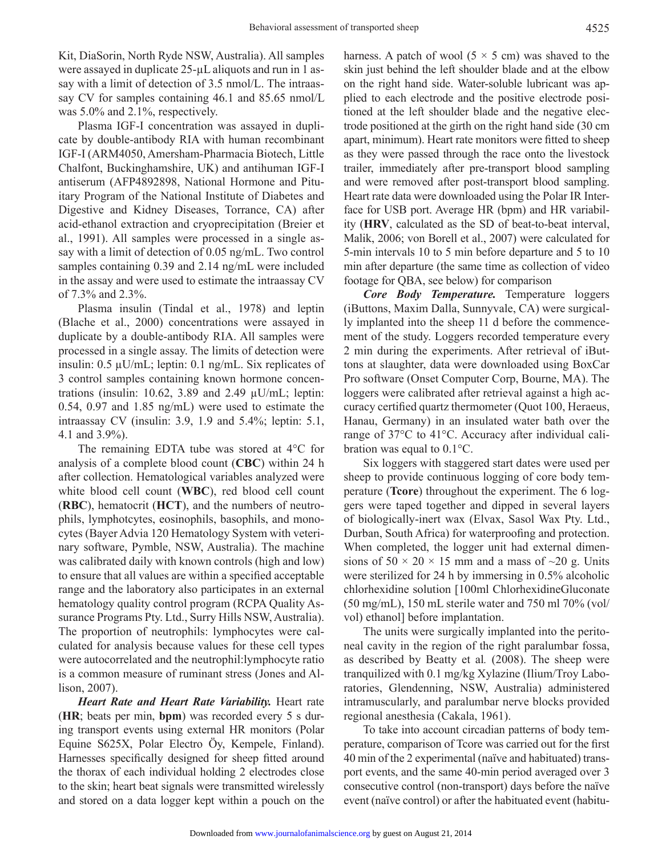Kit, DiaSorin, North Ryde NSW, Australia). All samples were assayed in duplicate 25-μL aliquots and run in 1 assay with a limit of detection of 3.5 nmol/L. The intraassay CV for samples containing 46.1 and 85.65 nmol/L was 5.0% and 2.1%, respectively.

Plasma IGF-I concentration was assayed in duplicate by double-antibody RIA with human recombinant IGF-I (ARM4050, Amersham-Pharmacia Biotech, Little Chalfont, Buckinghamshire, UK) and antihuman IGF-I antiserum (AFP4892898, National Hormone and Pituitary Program of the National Institute of Diabetes and Digestive and Kidney Diseases, Torrance, CA) after acid-ethanol extraction and cryoprecipitation (Breier et al., 1991). All samples were processed in a single assay with a limit of detection of 0.05 ng/mL. Two control samples containing 0.39 and 2.14 ng/mL were included in the assay and were used to estimate the intraassay CV of 7.3% and 2.3%.

Plasma insulin (Tindal et al., 1978) and leptin (Blache et al., 2000) concentrations were assayed in duplicate by a double-antibody RIA. All samples were processed in a single assay. The limits of detection were insulin: 0.5 μU/mL; leptin: 0.1 ng/mL. Six replicates of 3 control samples containing known hormone concentrations (insulin: 10.62, 3.89 and 2.49  $\mu$ U/mL; leptin: 0.54, 0.97 and 1.85 ng/mL) were used to estimate the intraassay CV (insulin: 3.9, 1.9 and 5.4%; leptin: 5.1, 4.1 and 3.9%).

The remaining EDTA tube was stored at 4°C for analysis of a complete blood count (**CBC**) within 24 h after collection. Hematological variables analyzed were white blood cell count (**WBC**), red blood cell count (**RBC**), hematocrit (**HCT**), and the numbers of neutrophils, lymphotcytes, eosinophils, basophils, and monocytes (Bayer Advia 120 Hematology System with veterinary software, Pymble, NSW, Australia). The machine was calibrated daily with known controls (high and low) to ensure that all values are within a specified acceptable range and the laboratory also participates in an external hematology quality control program (RCPA Quality Assurance Programs Pty. Ltd., Surry Hills NSW, Australia). The proportion of neutrophils: lymphocytes were calculated for analysis because values for these cell types were autocorrelated and the neutrophil:lymphocyte ratio is a common measure of ruminant stress (Jones and Allison, 2007).

*Heart Rate and Heart Rate Variability.* Heart rate (**HR**; beats per min, **bpm**) was recorded every 5 s during transport events using external HR monitors (Polar Equine S625X, Polar Electro Öy, Kempele, Finland). Harnesses specifically designed for sheep fitted around the thorax of each individual holding 2 electrodes close to the skin; heart beat signals were transmitted wirelessly and stored on a data logger kept within a pouch on the harness. A patch of wool  $(5 \times 5 \text{ cm})$  was shaved to the skin just behind the left shoulder blade and at the elbow on the right hand side. Water-soluble lubricant was applied to each electrode and the positive electrode positioned at the left shoulder blade and the negative electrode positioned at the girth on the right hand side (30 cm apart, minimum). Heart rate monitors were fitted to sheep as they were passed through the race onto the livestock trailer, immediately after pre-transport blood sampling and were removed after post-transport blood sampling. Heart rate data were downloaded using the Polar IR Interface for USB port. Average HR (bpm) and HR variability (**HRV**, calculated as the SD of beat-to-beat interval, Malik, 2006; von Borell et al., 2007) were calculated for 5-min intervals 10 to 5 min before departure and 5 to 10 min after departure (the same time as collection of video footage for QBA, see below) for comparison

*Core Body Temperature.* Temperature loggers (iButtons, Maxim Dalla, Sunnyvale, CA) were surgically implanted into the sheep 11 d before the commencement of the study. Loggers recorded temperature every 2 min during the experiments. After retrieval of iButtons at slaughter, data were downloaded using BoxCar Pro software (Onset Computer Corp, Bourne, MA). The loggers were calibrated after retrieval against a high accuracy certified quartz thermometer (Quot 100, Heraeus, Hanau, Germany) in an insulated water bath over the range of 37°C to 41°C. Accuracy after individual calibration was equal to 0.1°C.

Six loggers with staggered start dates were used per sheep to provide continuous logging of core body temperature (**Tcore**) throughout the experiment. The 6 loggers were taped together and dipped in several layers of biologically-inert wax (Elvax, Sasol Wax Pty. Ltd., Durban, South Africa) for waterproofing and protection. When completed, the logger unit had external dimensions of  $50 \times 20 \times 15$  mm and a mass of  $\sim 20$  g. Units were sterilized for 24 h by immersing in 0.5% alcoholic chlorhexidine solution [100ml ChlorhexidineGluconate  $(50 \text{ mg/mL})$ , 150 mL sterile water and 750 ml 70% (vol/ vol) ethanol] before implantation.

The units were surgically implanted into the peritoneal cavity in the region of the right paralumbar fossa, as described by Beatty et al*.* (2008). The sheep were tranquilized with 0.1 mg/kg Xylazine (Ilium/Troy Laboratories, Glendenning, NSW, Australia) administered intramuscularly, and paralumbar nerve blocks provided regional anesthesia (Cakala, 1961).

To take into account circadian patterns of body temperature, comparison of Tcore was carried out for the first 40 min of the 2 experimental (naïve and habituated) transport events, and the same 40-min period averaged over 3 consecutive control (non-transport) days before the naïve event (naïve control) or after the habituated event (habitu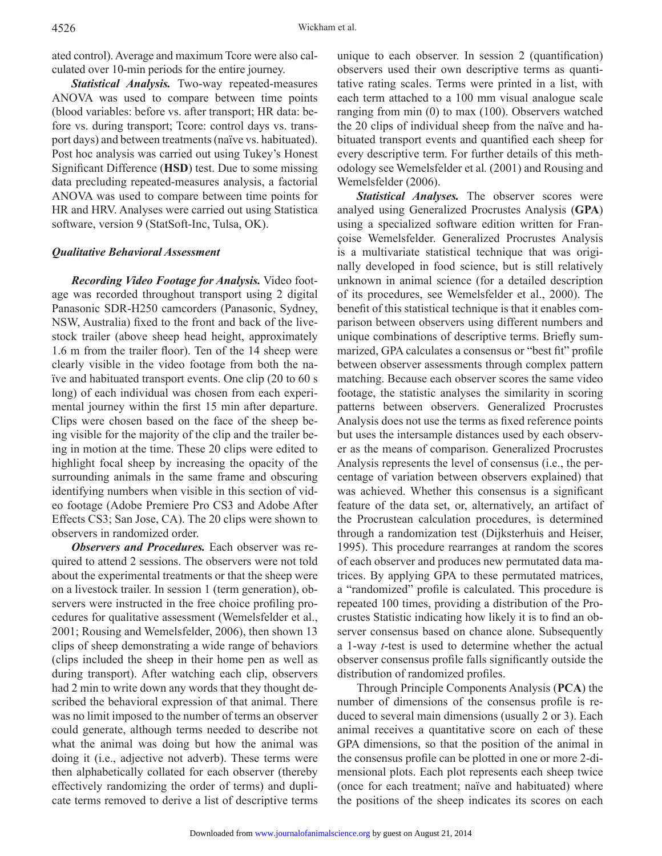ated control). Average and maximum Tcore were also calculated over 10-min periods for the entire journey.

*Statistical Analysis.* Two-way repeated-measures ANOVA was used to compare between time points (blood variables: before vs. after transport; HR data: before vs. during transport; Tcore: control days vs. transport days) and between treatments (naïve vs. habituated). Post hoc analysis was carried out using Tukey's Honest Significant Difference (**HSD**) test. Due to some missing data precluding repeated-measures analysis, a factorial ANOVA was used to compare between time points for HR and HRV. Analyses were carried out using Statistica software, version 9 (StatSoft-Inc, Tulsa, OK).

## *Qualitative Behavioral Assessment*

*Recording Video Footage for Analysis.* Video footage was recorded throughout transport using 2 digital Panasonic SDR-H250 camcorders (Panasonic, Sydney, NSW, Australia) fixed to the front and back of the livestock trailer (above sheep head height, approximately 1.6 m from the trailer floor). Ten of the 14 sheep were clearly visible in the video footage from both the naïve and habituated transport events. One clip (20 to 60 s long) of each individual was chosen from each experimental journey within the first 15 min after departure. Clips were chosen based on the face of the sheep being visible for the majority of the clip and the trailer being in motion at the time. These 20 clips were edited to highlight focal sheep by increasing the opacity of the surrounding animals in the same frame and obscuring identifying numbers when visible in this section of video footage (Adobe Premiere Pro CS3 and Adobe After Effects CS3; San Jose, CA). The 20 clips were shown to observers in randomized order.

*Observers and Procedures.* Each observer was required to attend 2 sessions. The observers were not told about the experimental treatments or that the sheep were on a livestock trailer. In session 1 (term generation), observers were instructed in the free choice profiling procedures for qualitative assessment (Wemelsfelder et al., 2001; Rousing and Wemelsfelder, 2006), then shown 13 clips of sheep demonstrating a wide range of behaviors (clips included the sheep in their home pen as well as during transport). After watching each clip, observers had 2 min to write down any words that they thought described the behavioral expression of that animal. There was no limit imposed to the number of terms an observer could generate, although terms needed to describe not what the animal was doing but how the animal was doing it (i.e., adjective not adverb). These terms were then alphabetically collated for each observer (thereby effectively randomizing the order of terms) and duplicate terms removed to derive a list of descriptive terms

unique to each observer. In session  $2$  (quantification) observers used their own descriptive terms as quantitative rating scales. Terms were printed in a list, with each term attached to a 100 mm visual analogue scale ranging from min (0) to max (100). Observers watched the 20 clips of individual sheep from the naïve and habituated transport events and quantified each sheep for every descriptive term. For further details of this methodology see Wemelsfelder et al*.* (2001) and Rousing and Wemelsfelder (2006).

*Statistical Analyses.* The observer scores were analyed using Generalized Procrustes Analysis (**GPA**) using a specialized software edition written for Françoise Wemelsfelder. Generalized Procrustes Analysis is a multivariate statistical technique that was originally developed in food science, but is still relatively unknown in animal science (for a detailed description of its procedures, see Wemelsfelder et al., 2000). The benefit of this statistical technique is that it enables comparison between observers using different numbers and unique combinations of descriptive terms. Briefly summarized, GPA calculates a consensus or "best fit" profile between observer assessments through complex pattern matching. Because each observer scores the same video footage, the statistic analyses the similarity in scoring patterns between observers. Generalized Procrustes Analysis does not use the terms as fixed reference points but uses the intersample distances used by each observer as the means of comparison. Generalized Procrustes Analysis represents the level of consensus (i.e., the percentage of variation between observers explained) that was achieved. Whether this consensus is a significant feature of the data set, or, alternatively, an artifact of the Procrustean calculation procedures, is determined through a randomization test (Dijksterhuis and Heiser, 1995). This procedure rearranges at random the scores of each observer and produces new permutated data matrices. By applying GPA to these permutated matrices, a "randomized" profile is calculated. This procedure is repeated 100 times, providing a distribution of the Procrustes Statistic indicating how likely it is to find an observer consensus based on chance alone. Subsequently a 1-way *t*-test is used to determine whether the actual observer consensus profile falls significantly outside the distribution of randomized profiles.

Through Principle Components Analysis (**PCA**) the number of dimensions of the consensus profile is reduced to several main dimensions (usually 2 or 3). Each animal receives a quantitative score on each of these GPA dimensions, so that the position of the animal in the consensus profile can be plotted in one or more 2-dimensional plots. Each plot represents each sheep twice (once for each treatment; naïve and habituated) where the positions of the sheep indicates its scores on each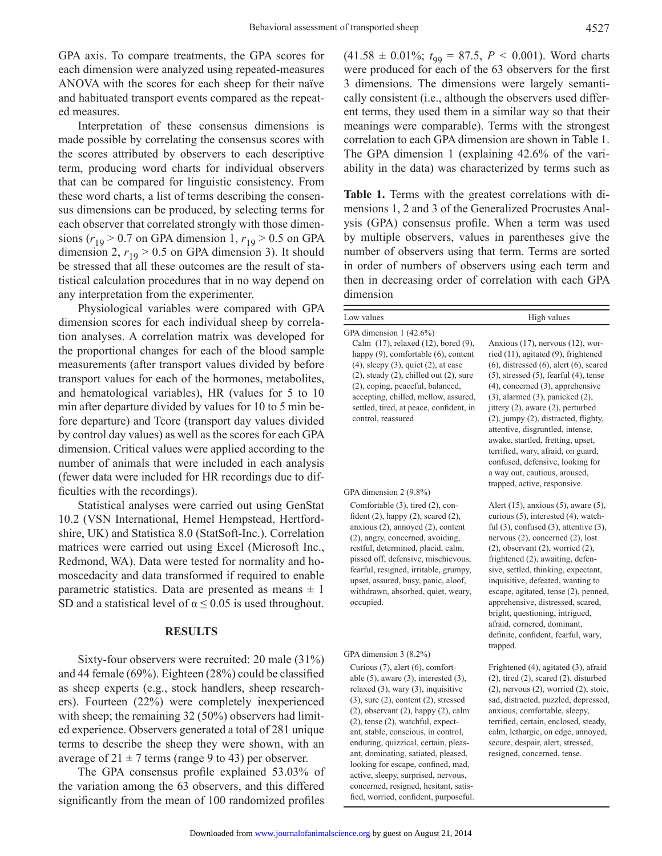GPA axis. To compare treatments, the GPA scores for each dimension were analyzed using repeated-measures ANOVA with the scores for each sheep for their naïve and habituated transport events compared as the repeated measures.

Interpretation of these consensus dimensions is made possible by correlating the consensus scores with the scores attributed by observers to each descriptive term, producing word charts for individual observers that can be compared for linguistic consistency. From these word charts, a list of terms describing the consensus dimensions can be produced, by selecting terms for each observer that correlated strongly with those dimensions ( $r_{19}$  > 0.7 on GPA dimension 1,  $r_{19}$  > 0.5 on GPA dimension 2,  $r_{19}$  > 0.5 on GPA dimension 3). It should be stressed that all these outcomes are the result of statistical calculation procedures that in no way depend on any interpretation from the experimenter.

Physiological variables were compared with GPA dimension scores for each individual sheep by correlation analyses. A correlation matrix was developed for the proportional changes for each of the blood sample measurements (after transport values divided by before transport values for each of the hormones, metabolites, and hematological variables), HR (values for 5 to 10 min after departure divided by values for 10 to 5 min before departure) and Tcore (transport day values divided by control day values) as well as the scores for each GPA dimension. Critical values were applied according to the number of animals that were included in each analysis (fewer data were included for HR recordings due to difficulties with the recordings).

Statistical analyses were carried out using GenStat 10.2 (VSN International, Hemel Hempstead, Hertfordshire, UK) and Statistica 8.0 (StatSoft-Inc.). Correlation matrices were carried out using Excel (Microsoft Inc., Redmond, WA). Data were tested for normality and homoscedacity and data transformed if required to enable parametric statistics. Data are presented as means  $\pm$  1 SD and a statistical level of  $\alpha \le 0.05$  is used throughout.

#### **RESULTS**

Sixty-four observers were recruited: 20 male (31%) and 44 female  $(69\%)$ . Eighteen  $(28\%)$  could be classified as sheep experts (e.g., stock handlers, sheep researchers). Fourteen (22%) were completely inexperienced with sheep; the remaining 32 (50%) observers had limited experience. Observers generated a total of 281 unique terms to describe the sheep they were shown, with an average of  $21 \pm 7$  terms (range 9 to 43) per observer.

The GPA consensus profile explained 53.03% of the variation among the 63 observers, and this differed significantly from the mean of 100 randomized profiles

 $(41.58 \pm 0.01\%; t_{99} = 87.5, P < 0.001)$ . Word charts were produced for each of the 63 observers for the first 3 dimensions. The dimensions were largely semantically consistent (i.e., although the observers used different terms, they used them in a similar way so that their meanings were comparable). Terms with the strongest correlation to each GPA dimension are shown in Table 1. The GPA dimension 1 (explaining 42.6% of the variability in the data) was characterized by terms such as

Table 1. Terms with the greatest correlations with dimensions 1, 2 and 3 of the Generalized Procrustes Analysis (GPA) consensus profile. When a term was used by multiple observers, values in parentheses give the number of observers using that term. Terms are sorted in order of numbers of observers using each term and then in decreasing order of correlation with each GPA dimension

| Low values                                                                                                                                                                                                                                                                                                                                                                              | High values                                                                                                                                                                                                                                                                                                                                                                                                                                                                                                                                                                     |
|-----------------------------------------------------------------------------------------------------------------------------------------------------------------------------------------------------------------------------------------------------------------------------------------------------------------------------------------------------------------------------------------|---------------------------------------------------------------------------------------------------------------------------------------------------------------------------------------------------------------------------------------------------------------------------------------------------------------------------------------------------------------------------------------------------------------------------------------------------------------------------------------------------------------------------------------------------------------------------------|
| GPA dimension $1(42.6\%)$<br>Calm (17), relaxed (12), bored (9),<br>happy $(9)$ , comfortable $(6)$ , content<br>$(4)$ , sleepy $(3)$ , quiet $(2)$ , at ease<br>$(2)$ , steady $(2)$ , chilled out $(2)$ , sure<br>(2), coping, peaceful, balanced,<br>accepting, chilled, mellow, assured,<br>settled, tired, at peace, confident, in<br>control, reassured<br>GPA dimension 2 (9.8%) | Anxious $(17)$ , nervous $(12)$ , wor-<br>ried (11), agitated (9), frightened<br>$(6)$ , distressed $(6)$ , alert $(6)$ , scared<br>$(5)$ , stressed $(5)$ , fearful $(4)$ , tense<br>$(4)$ , concerned $(3)$ , apprehensive<br>$(3)$ , alarmed $(3)$ , panicked $(2)$ ,<br>jittery $(2)$ , aware $(2)$ , perturbed<br>(2), jumpy (2), distracted, flighty,<br>attentive, disgruntled, intense,<br>awake, startled, fretting, upset,<br>terrified, wary, afraid, on guard,<br>confused, defensive, looking for<br>a way out, cautious, aroused,<br>trapped, active, responsive. |
| Comfortable (3), tired (2), con-<br>fident $(2)$ , happy $(2)$ , scared $(2)$ ,<br>anxious $(2)$ , annoyed $(2)$ , content<br>(2), angry, concerned, avoiding,<br>restful, determined, placid, calm,<br>pissed off, defensive, mischievous,<br>fearful, resigned, irritable, grumpy,<br>upset, assured, busy, panic, aloof,<br>withdrawn, absorbed, quiet, weary,<br>occupied.          | Alert $(15)$ , anxious $(5)$ , aware $(5)$ ,<br>curious (5), interested (4), watch-<br>ful $(3)$ , confused $(3)$ , attentive $(3)$ ,<br>nervous $(2)$ , concerned $(2)$ , lost<br>$(2)$ , observant $(2)$ , worried $(2)$ ,<br>frightened (2), awaiting, defen-<br>sive, settled, thinking, expectant,<br>inquisitive, defeated, wanting to<br>escape, agitated, tense (2), penned,<br>apprehensive, distressed, scared,<br>bright, questioning, intrigued,<br>afraid, cornered, dominant,<br>definite, confident, fearful, wary,<br>trapped.                                  |
| GPA dimension 3 (8.2%)<br>Curious $(7)$ , alert $(6)$ , comfort-<br>able $(5)$ , aware $(3)$ , interested $(3)$ ,<br>relaxed $(3)$ , wary $(3)$ , inquisitive<br>$(3)$ , sure $(2)$ , content $(2)$ , stressed<br>$(2)$ , observant $(2)$ , happy $(2)$ , calm<br>(2), tense (2), watchful, expect-<br>ant, stable, conscious, in control,                                              | Frightened (4), agitated (3), afraid<br>$(2)$ , tired $(2)$ , scared $(2)$ , disturbed<br>$(2)$ , nervous $(2)$ , worried $(2)$ , stoic,<br>sad, distracted, puzzled, depressed,<br>anxious, comfortable, sleepy,<br>terrified, certain, enclosed, steady,<br>calm, lethargic, on edge, annoyed,                                                                                                                                                                                                                                                                                |

secure, despair, alert, stressed, resigned, concerned, tense.

enduring, quizzical, certain, pleasant, dominating, satiated, pleased, looking for escape, confined, mad, active, sleepy, surprised, nervous, concerned, resigned, hesitant, satisfied, worried, confident, purposeful.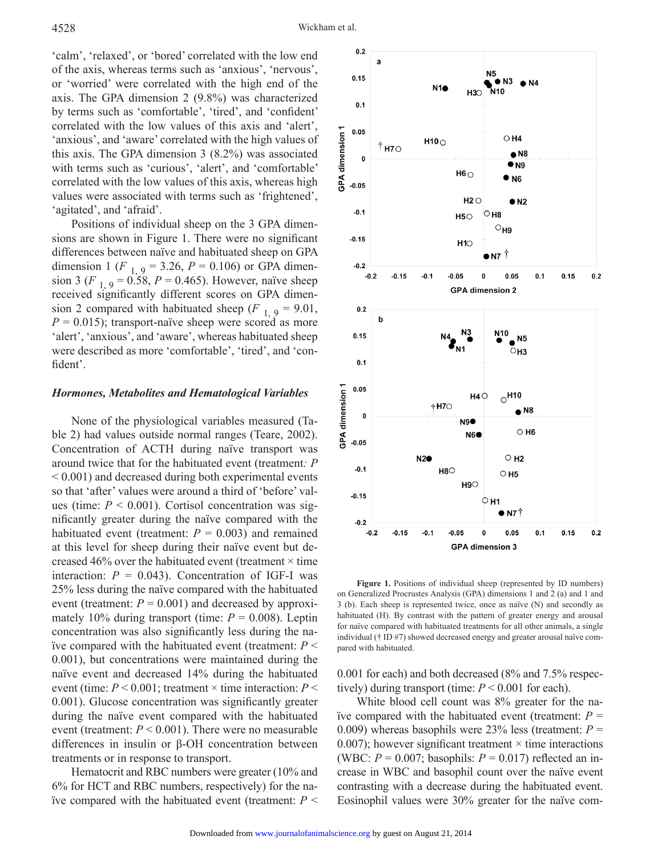'calm', 'relaxed', or 'bored' correlated with the low end of the axis, whereas terms such as 'anxious', 'nervous', or 'worried' were correlated with the high end of the axis. The GPA dimension 2 (9.8%) was characterized by terms such as 'comfortable', 'tired', and 'confident' correlated with the low values of this axis and 'alert', 'anxious', and 'aware' correlated with the high values of this axis. The GPA dimension 3 (8.2%) was associated with terms such as 'curious', 'alert', and 'comfortable' correlated with the low values of this axis, whereas high values were associated with terms such as 'frightened', 'agitated', and 'afraid'.

Positions of individual sheep on the 3 GPA dimensions are shown in Figure 1. There were no significant differences between naïve and habituated sheep on GPA dimension 1 ( $F_{1, 9}$  = 3.26,  $P = 0.106$ ) or GPA dimension 3 ( $F_{1,9} = 0.58, P = 0.465$ ). However, naïve sheep received significantly different scores on GPA dimension 2 compared with habituated sheep  $(F_{1, 9} = 9.01,$  $P = 0.015$ ; transport-naïve sheep were scored as more 'alert', 'anxious', and 'aware', whereas habituated sheep were described as more 'comfortable', 'tired', and 'confident'.

#### *Hormones, Metabolites and Hematological Variables*

None of the physiological variables measured (Table 2) had values outside normal ranges (Teare, 2002). Concentration of ACTH during naïve transport was around twice that for the habituated event (treatment*: P* < 0.001) and decreased during both experimental events so that 'after' values were around a third of 'before' values (time:  $P < 0.001$ ). Cortisol concentration was significantly greater during the naïve compared with the habituated event (treatment:  $P = 0.003$ ) and remained at this level for sheep during their naïve event but decreased 46% over the habituated event (treatment  $\times$  time interaction:  $P = 0.043$ ). Concentration of IGF-I was 25% less during the naïve compared with the habituated event (treatment:  $P = 0.001$ ) and decreased by approximately 10% during transport (time:  $P = 0.008$ ). Leptin concentration was also significantly less during the na-The compared with the habituated event (treatment:  $P \leq$ 0.001), but concentrations were maintained during the naïve event and decreased 14% during the habituated event (time:  $P < 0.001$ ; treatment  $\times$  time interaction:  $P <$ 0.001). Glucose concentration was significantly greater during the naïve event compared with the habituated event (treatment: *P* < 0.001). There were no measurable differences in insulin or β-OH concentration between treatments or in response to transport.

Hematocrit and RBC numbers were greater (10% and 6% for HCT and RBC numbers, respectively) for the naïve compared with the habituated event (treatment: *P* <



**Figure 1.** Positions of individual sheep (represented by ID numbers) on Generalized Procrustes Analysis (GPA) dimensions 1 and 2 (a) and 1 and 3 (b). Each sheep is represented twice, once as naïve (N) and secondly as habituated (H). By contrast with the pattern of greater energy and arousal for naïve compared with habituated treatments for all other animals, a single individual († ID #7) showed decreased energy and greater arousal naïve compared with habituated.

0.001 for each) and both decreased (8% and 7.5% respectively) during transport (time: *P* < 0.001 for each).

White blood cell count was 8% greater for the naïve compared with the habituated event (treatment: *P* = 0.009) whereas basophils were 23% less (treatment: *P* = 0.007); however significant treatment  $\times$  time interactions (WBC:  $P = 0.007$ ; basophils:  $P = 0.017$ ) reflected an increase in WBC and basophil count over the naïve event contrasting with a decrease during the habituated event. Eosinophil values were 30% greater for the naïve com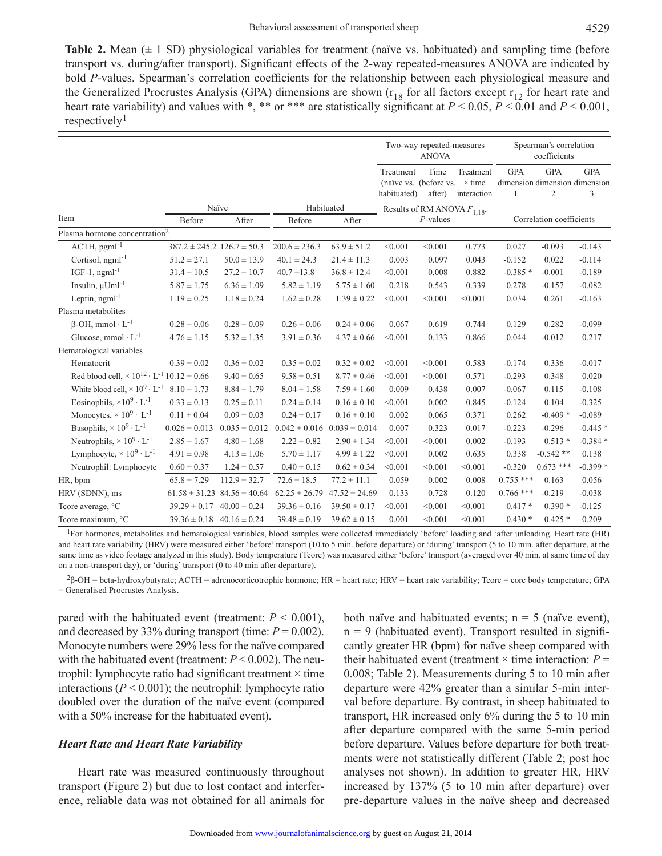**Table 2.** Mean  $(\pm 1 \text{ SD})$  physiological variables for treatment (naïve vs. habituated) and sampling time (before transport vs. during/after transport). Significant effects of the 2-way repeated-measures ANOVA are indicated by bold *P*-values. Spearman's correlation coefficients for the relationship between each physiological measure and the Generalized Procrustes Analysis (GPA) dimensions are shown  $(r_{18}$  for all factors except  $r_{12}$  for heart rate and heart rate variability) and values with \*, \*\* or \*\*\* are statistically significant at  $P \le 0.05$ ,  $P \le 0.01$  and  $P \le 0.001$ , respectively<sup>1</sup>

|                                                              |                                    |                                     |                   | Two-way repeated-measures<br><b>ANOVA</b> |                                                                  |                | Spearman's correlation<br>coefficients |             |                                        |                 |
|--------------------------------------------------------------|------------------------------------|-------------------------------------|-------------------|-------------------------------------------|------------------------------------------------------------------|----------------|----------------------------------------|-------------|----------------------------------------|-----------------|
|                                                              |                                    |                                     |                   |                                           | Treatment<br>(naïve vs. (before vs. $\times$ time<br>habituated) | Time<br>after) | Treatment<br>interaction               | <b>GPA</b>  | <b>GPA</b><br>dimension dimension<br>2 | <b>GPA</b><br>3 |
|                                                              |                                    | Naïve                               | Habituated        |                                           | Results of RM ANOVA $F_{1.18}$ ,                                 |                |                                        |             |                                        |                 |
| Item                                                         | Before                             | After                               | Before            | After                                     |                                                                  | $P$ -values    |                                        |             | Correlation coefficients               |                 |
| Plasma hormone concentration <sup>2</sup>                    |                                    |                                     |                   |                                           |                                                                  |                |                                        |             |                                        |                 |
| $ACTH$ , pgml <sup>-1</sup>                                  | $387.2 \pm 245.2$ $126.7 \pm 50.3$ |                                     | $200.6 \pm 236.3$ | $63.9 \pm 51.2$                           | < 0.001                                                          | < 0.001        | 0.773                                  | 0.027       | $-0.093$                               | $-0.143$        |
| Cortisol, ngml <sup>-1</sup>                                 | $51.2 \pm 27.1$                    | $50.0 \pm 13.9$                     | $40.1 \pm 24.3$   | $21.4 \pm 11.3$                           | 0.003                                                            | 0.097          | 0.043                                  | $-0.152$    | 0.022                                  | $-0.114$        |
| $IGF-1$ , ngm $l^{-1}$                                       | $31.4 \pm 10.5$                    | $27.2 \pm 10.7$                     | $40.7 \pm 13.8$   | $36.8 \pm 12.4$                           | < 0.001                                                          | 0.008          | 0.882                                  | $-0.385*$   | $-0.001$                               | $-0.189$        |
| Insulin, $\mu$ Uml <sup>-1</sup>                             | $5.87 \pm 1.75$                    | $6.36 \pm 1.09$                     | $5.82 \pm 1.19$   | $5.75 \pm 1.60$                           | 0.218                                                            | 0.543          | 0.339                                  | 0.278       | $-0.157$                               | $-0.082$        |
| Leptin, $ngml^{-1}$                                          | $1.19 \pm 0.25$                    | $1.18 \pm 0.24$                     | $1.62 \pm 0.28$   | $1.39 \pm 0.22$                           | < 0.001                                                          | < 0.001        | < 0.001                                | 0.034       | 0.261                                  | $-0.163$        |
| Plasma metabolites                                           |                                    |                                     |                   |                                           |                                                                  |                |                                        |             |                                        |                 |
| $\beta$ -OH, mmol · L <sup>-1</sup>                          | $0.28 \pm 0.06$                    | $0.28 \pm 0.09$                     | $0.26 \pm 0.06$   | $0.24 \pm 0.06$                           | 0.067                                                            | 0.619          | 0.744                                  | 0.129       | 0.282                                  | $-0.099$        |
| Glucose, mmol $\cdot L^{-1}$                                 | $4.76 \pm 1.15$                    | $5.32 \pm 1.35$                     | $3.91 \pm 0.36$   | $4.37 \pm 0.66$                           | < 0.001                                                          | 0.133          | 0.866                                  | 0.044       | $-0.012$                               | 0.217           |
| Hematological variables                                      |                                    |                                     |                   |                                           |                                                                  |                |                                        |             |                                        |                 |
| Hematocrit                                                   | $0.39 \pm 0.02$                    | $0.36 \pm 0.02$                     | $0.35 \pm 0.02$   | $0.32 \pm 0.02$                           | < 0.001                                                          | < 0.001        | 0.583                                  | $-0.174$    | 0.336                                  | $-0.017$        |
| Red blood cell, $\times 10^{12} \cdot L^{-1} 10.12 \pm 0.66$ |                                    | $9.40 \pm 0.65$                     | $9.58 \pm 0.51$   | $8.77 \pm 0.46$                           | < 0.001                                                          | < 0.001        | 0.571                                  | $-0.293$    | 0.348                                  | 0.020           |
| White blood cell, $\times 10^9 \cdot L^{-1}$                 | $8.10 \pm 1.73$                    | $8.84 \pm 1.79$                     | $8.04 \pm 1.58$   | $7.59 \pm 1.60$                           | 0.009                                                            | 0.438          | 0.007                                  | $-0.067$    | 0.115                                  | $-0.108$        |
| Eosinophils, $\times 10^9 \cdot L^{-1}$                      | $0.33 \pm 0.13$                    | $0.25 \pm 0.11$                     | $0.24 \pm 0.14$   | $0.16 \pm 0.10$                           | < 0.001                                                          | 0.002          | 0.845                                  | $-0.124$    | 0.104                                  | $-0.325$        |
| Monocytes, $\times 10^9 \cdot L^{-1}$                        | $0.11 \pm 0.04$                    | $0.09 \pm 0.03$                     | $0.24 \pm 0.17$   | $0.16 \pm 0.10$                           | 0.002                                                            | 0.065          | 0.371                                  | 0.262       | $-0.409*$                              | $-0.089$        |
| Basophils, $\times 10^9 \cdot L^{-1}$                        | $0.026 \pm 0.013$                  | $0.035 \pm 0.012$                   | $0.042 \pm 0.016$ | $0.039 \pm 0.014$                         | 0.007                                                            | 0.323          | 0.017                                  | $-0.223$    | $-0.296$                               | $-0.445*$       |
| Neutrophils, $\times 10^9 \cdot L^{-1}$                      | $2.85 \pm 1.67$                    | $4.80 \pm 1.68$                     | $2.22 \pm 0.82$   | $2.90 \pm 1.34$                           | < 0.001                                                          | < 0.001        | 0.002                                  | $-0.193$    | $0.513*$                               | $-0.384*$       |
| Lymphocyte, $\times 10^9 \cdot L^{-1}$                       | $4.91 \pm 0.98$                    | $4.13 \pm 1.06$                     | $5.70 \pm 1.17$   | $4.99 \pm 1.22$                           | < 0.001                                                          | 0.002          | 0.635                                  | 0.338       | $-0.542**$                             | 0.138           |
| Neutrophil: Lymphocyte                                       | $0.60 \pm 0.37$                    | $1.24 \pm 0.57$                     | $0.40 \pm 0.15$   | $0.62 \pm 0.34$                           | < 0.001                                                          | < 0.001        | < 0.001                                | $-0.320$    | $0.673$ ***                            | $-0.399*$       |
| HR, bpm                                                      | $65.8 \pm 7.29$                    | $112.9 \pm 32.7$                    | $72.6 \pm 18.5$   | $77.2 \pm 11.1$                           | 0.059                                                            | 0.002          | 0.008                                  | $0.755$ *** | 0.163                                  | 0.056           |
| HRV (SDNN), ms                                               |                                    | $61.58 \pm 31.23$ $84.56 \pm 40.64$ | $62.25 \pm 26.79$ | $47.52 \pm 24.69$                         | 0.133                                                            | 0.728          | 0.120                                  | $0.766$ *** | $-0.219$                               | $-0.038$        |
| Teore average, °C                                            | $39.29 \pm 0.17$ $40.00 \pm 0.24$  |                                     | $39.36 \pm 0.16$  | $39.50 \pm 0.17$                          | < 0.001                                                          | < 0.001        | < 0.001                                | $0.417*$    | $0.390*$                               | $-0.125$        |
| Teore maximum, °C                                            |                                    | $39.36 \pm 0.18$ 40.16 $\pm$ 0.24   | $39.48 \pm 0.19$  | $39.62 \pm 0.15$                          | 0.001                                                            | < 0.001        | < 0.001                                | $0.430*$    | $0.425*$                               | 0.209           |

<sup>1</sup>For hormones, metabolites and hematological variables, blood samples were collected immediately 'before' loading and 'after unloading. Heart rate (HR) and heart rate variability (HRV) were measured either 'before' transport (10 to 5 min. before departure) or 'during' transport (5 to 10 min. after departure, at the same time as video footage analyzed in this study). Body temperature (Tcore) was measured either 'before' transport (averaged over 40 min. at same time of day on a non-transport day), or 'during' transport (0 to 40 min after departure).

 ${}^{2}B-OH = \text{beta-hydroxybutyrate}$ ; ACTH = adrenocorticotrophic hormone; HR = heart rate; HRV = heart rate variability; Tcore = core body temperature; GPA = Generalised Procrustes Analysis.

pared with the habituated event (treatment:  $P < 0.001$ ), and decreased by 33% during transport (time:  $P = 0.002$ ). Monocyte numbers were 29% less for the naïve compared with the habituated event (treatment: *P* < 0.002). The neutrophil: lymphocyte ratio had significant treatment  $\times$  time interactions  $(P < 0.001)$ ; the neutrophil: lymphocyte ratio doubled over the duration of the naïve event (compared with a 50% increase for the habituated event).

#### *Heart Rate and Heart Rate Variability*

Heart rate was measured continuously throughout transport (Figure 2) but due to lost contact and interference, reliable data was not obtained for all animals for both naïve and habituated events;  $n = 5$  (naïve event),  $n = 9$  (habituated event). Transport resulted in significantly greater HR (bpm) for naïve sheep compared with their habituated event (treatment  $\times$  time interaction:  $P =$ 0.008; Table 2). Measurements during 5 to 10 min after departure were 42% greater than a similar 5-min interval before departure. By contrast, in sheep habituated to transport, HR increased only 6% during the 5 to 10 min after departure compared with the same 5-min period before departure. Values before departure for both treatments were not statistically different (Table 2; post hoc analyses not shown). In addition to greater HR, HRV increased by 137% (5 to 10 min after departure) over pre-departure values in the naïve sheep and decreased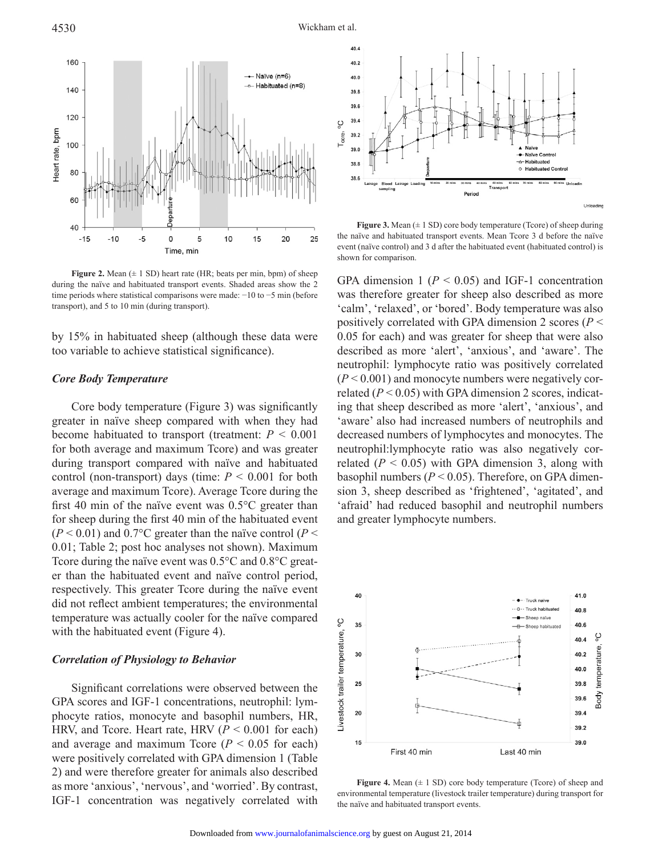

**Figure 2.** Mean  $(\pm 1 \text{ SD})$  heart rate (HR; beats per min, bpm) of sheep during the naïve and habituated transport events. Shaded areas show the 2 time periods where statistical comparisons were made: −10 to −5 min (before transport), and 5 to 10 min (during transport).

by 15% in habituated sheep (although these data were too variable to achieve statistical significance).

#### *Core Body Temperature*

Core body temperature (Figure 3) was significantly greater in naïve sheep compared with when they had become habituated to transport (treatment: *P <* 0.001 for both average and maximum Tcore) and was greater during transport compared with naïve and habituated control (non-transport) days (time: *P <* 0.001 for both average and maximum Tcore). Average Tcore during the first 40 min of the naïve event was  $0.5^{\circ}$ C greater than for sheep during the first 40 min of the habituated event  $(P < 0.01)$  and 0.7°C greater than the naïve control ( $P <$ 0.01; Table 2; post hoc analyses not shown). Maximum Tcore during the naïve event was 0.5°C and 0.8°C greater than the habituated event and naïve control period, respectively. This greater Tcore during the naïve event did not reflect ambient temperatures; the environmental temperature was actually cooler for the naïve compared with the habituated event (Figure 4).

## *Correlation of Physiology to Behavior*

Significant correlations were observed between the GPA scores and IGF-1 concentrations, neutrophil: lymphocyte ratios, monocyte and basophil numbers, HR, HRV, and Tcore. Heart rate, HRV  $(P < 0.001$  for each) and average and maximum Tcore ( $P < 0.05$  for each) were positively correlated with GPA dimension 1 (Table 2) and were therefore greater for animals also described as more 'anxious', 'nervous', and 'worried'. By contrast, IGF-1 concentration was negatively correlated with



**Figure 3.** Mean  $(± 1 SD)$  core body temperature (Tcore) of sheep during the naïve and habituated transport events. Mean Tcore 3 d before the naïve event (naïve control) and 3 d after the habituated event (habituated control) is shown for comparison.

GPA dimension  $1 (P < 0.05)$  and IGF-1 concentration was therefore greater for sheep also described as more 'calm', 'relaxed', or 'bored'. Body temperature was also positively correlated with GPA dimension 2 scores (*P* < 0.05 for each) and was greater for sheep that were also described as more 'alert', 'anxious', and 'aware'. The neutrophil: lymphocyte ratio was positively correlated  $(P<0.001)$  and monocyte numbers were negatively correlated  $(P < 0.05)$  with GPA dimension 2 scores, indicating that sheep described as more 'alert', 'anxious', and 'aware' also had increased numbers of neutrophils and decreased numbers of lymphocytes and monocytes. The neutrophil:lymphocyte ratio was also negatively correlated  $(P < 0.05)$  with GPA dimension 3, along with basophil numbers ( $P < 0.05$ ). Therefore, on GPA dimension 3, sheep described as 'frightened', 'agitated', and 'afraid' had reduced basophil and neutrophil numbers and greater lymphocyte numbers.



**Figure 4.** Mean  $(± 1 SD)$  core body temperature (Tcore) of sheep and environmental temperature (livestock trailer temperature) during transport for the naïve and habituated transport events.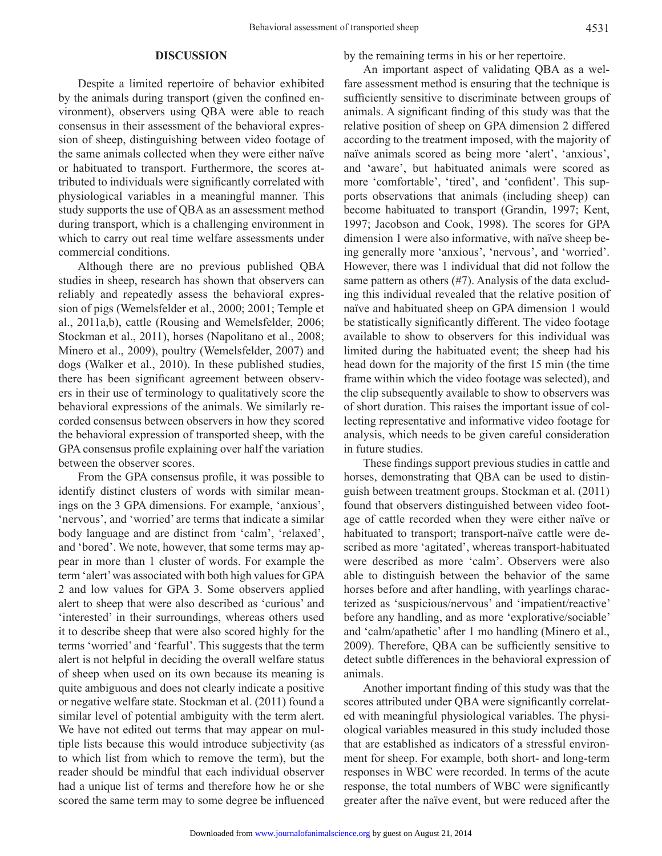## **DISCUSSION**

Despite a limited repertoire of behavior exhibited by the animals during transport (given the confined environment), observers using QBA were able to reach consensus in their assessment of the behavioral expression of sheep, distinguishing between video footage of the same animals collected when they were either naïve or habituated to transport. Furthermore, the scores attributed to individuals were significantly correlated with physiological variables in a meaningful manner. This study supports the use of QBA as an assessment method during transport, which is a challenging environment in which to carry out real time welfare assessments under commercial conditions.

Although there are no previous published QBA studies in sheep, research has shown that observers can reliably and repeatedly assess the behavioral expression of pigs (Wemelsfelder et al., 2000; 2001; Temple et al., 2011a,b), cattle (Rousing and Wemelsfelder, 2006; Stockman et al., 2011), horses (Napolitano et al., 2008; Minero et al., 2009), poultry (Wemelsfelder, 2007) and dogs (Walker et al., 2010). In these published studies, there has been significant agreement between observers in their use of terminology to qualitatively score the behavioral expressions of the animals. We similarly recorded consensus between observers in how they scored the behavioral expression of transported sheep, with the GPA consensus profile explaining over half the variation between the observer scores.

From the GPA consensus profile, it was possible to identify distinct clusters of words with similar meanings on the 3 GPA dimensions. For example, 'anxious', 'nervous', and 'worried' are terms that indicate a similar body language and are distinct from 'calm', 'relaxed', and 'bored'. We note, however, that some terms may appear in more than 1 cluster of words. For example the term 'alert' was associated with both high values for GPA 2 and low values for GPA 3. Some observers applied alert to sheep that were also described as 'curious' and 'interested' in their surroundings, whereas others used it to describe sheep that were also scored highly for the terms 'worried' and 'fearful'. This suggests that the term alert is not helpful in deciding the overall welfare status of sheep when used on its own because its meaning is quite ambiguous and does not clearly indicate a positive or negative welfare state. Stockman et al. (2011) found a similar level of potential ambiguity with the term alert. We have not edited out terms that may appear on multiple lists because this would introduce subjectivity (as to which list from which to remove the term), but the reader should be mindful that each individual observer had a unique list of terms and therefore how he or she scored the same term may to some degree be influenced

by the remaining terms in his or her repertoire.

An important aspect of validating QBA as a welfare assessment method is ensuring that the technique is sufficiently sensitive to discriminate between groups of animals. A significant finding of this study was that the relative position of sheep on GPA dimension 2 differed according to the treatment imposed, with the majority of naïve animals scored as being more 'alert', 'anxious', and 'aware', but habituated animals were scored as more 'comfortable', 'tired', and 'confident'. This supports observations that animals (including sheep) can become habituated to transport (Grandin, 1997; Kent, 1997; Jacobson and Cook, 1998). The scores for GPA dimension 1 were also informative, with naïve sheep being generally more 'anxious', 'nervous', and 'worried'. However, there was 1 individual that did not follow the same pattern as others (#7). Analysis of the data excluding this individual revealed that the relative position of naïve and habituated sheep on GPA dimension 1 would be statistically significantly different. The video footage available to show to observers for this individual was limited during the habituated event; the sheep had his head down for the majority of the first 15 min (the time frame within which the video footage was selected), and the clip subsequently available to show to observers was of short duration. This raises the important issue of collecting representative and informative video footage for analysis, which needs to be given careful consideration in future studies.

These findings support previous studies in cattle and horses, demonstrating that QBA can be used to distinguish between treatment groups. Stockman et al. (2011) found that observers distinguished between video footage of cattle recorded when they were either naïve or habituated to transport; transport-naïve cattle were described as more 'agitated', whereas transport-habituated were described as more 'calm'. Observers were also able to distinguish between the behavior of the same horses before and after handling, with yearlings characterized as 'suspicious/nervous' and 'impatient/reactive' before any handling, and as more 'explorative/sociable' and 'calm/apathetic' after 1 mo handling (Minero et al., 2009). Therefore, QBA can be sufficiently sensitive to detect subtle differences in the behavioral expression of animals.

Another important finding of this study was that the scores attributed under QBA were significantly correlated with meaningful physiological variables. The physiological variables measured in this study included those that are established as indicators of a stressful environment for sheep. For example, both short- and long-term responses in WBC were recorded. In terms of the acute response, the total numbers of WBC were significantly greater after the naïve event, but were reduced after the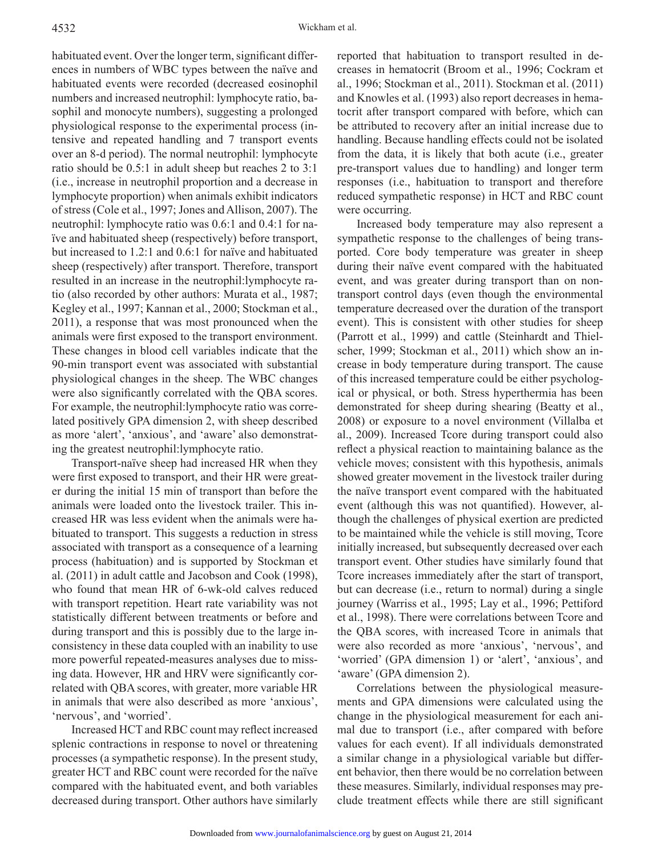habituated event. Over the longer term, significant differences in numbers of WBC types between the naïve and habituated events were recorded (decreased eosinophil numbers and increased neutrophil: lymphocyte ratio, basophil and monocyte numbers), suggesting a prolonged physiological response to the experimental process (intensive and repeated handling and 7 transport events over an 8-d period). The normal neutrophil: lymphocyte ratio should be 0.5:1 in adult sheep but reaches 2 to 3:1 (i.e., increase in neutrophil proportion and a decrease in lymphocyte proportion) when animals exhibit indicators of stress (Cole et al., 1997; Jones and Allison, 2007). The neutrophil: lymphocyte ratio was 0.6:1 and 0.4:1 for naïve and habituated sheep (respectively) before transport, but increased to 1.2:1 and 0.6:1 for naïve and habituated sheep (respectively) after transport. Therefore, transport resulted in an increase in the neutrophil:lymphocyte ratio (also recorded by other authors: Murata et al., 1987; Kegley et al., 1997; Kannan et al., 2000; Stockman et al., 2011), a response that was most pronounced when the animals were first exposed to the transport environment. These changes in blood cell variables indicate that the 90-min transport event was associated with substantial physiological changes in the sheep. The WBC changes were also significantly correlated with the QBA scores. For example, the neutrophil:lymphocyte ratio was correlated positively GPA dimension 2, with sheep described as more 'alert', 'anxious', and 'aware' also demonstrating the greatest neutrophil:lymphocyte ratio.

Transport-naïve sheep had increased HR when they were first exposed to transport, and their HR were greater during the initial 15 min of transport than before the animals were loaded onto the livestock trailer. This increased HR was less evident when the animals were habituated to transport. This suggests a reduction in stress associated with transport as a consequence of a learning process (habituation) and is supported by Stockman et al. (2011) in adult cattle and Jacobson and Cook (1998), who found that mean HR of 6-wk-old calves reduced with transport repetition. Heart rate variability was not statistically different between treatments or before and during transport and this is possibly due to the large inconsistency in these data coupled with an inability to use more powerful repeated-measures analyses due to missing data. However, HR and HRV were significantly correlated with QBA scores, with greater, more variable HR in animals that were also described as more 'anxious', 'nervous', and 'worried'.

Increased HCT and RBC count may reflect increased splenic contractions in response to novel or threatening processes (a sympathetic response). In the present study, greater HCT and RBC count were recorded for the naïve compared with the habituated event, and both variables decreased during transport. Other authors have similarly reported that habituation to transport resulted in decreases in hematocrit (Broom et al., 1996; Cockram et al., 1996; Stockman et al., 2011). Stockman et al. (2011) and Knowles et al. (1993) also report decreases in hematocrit after transport compared with before, which can be attributed to recovery after an initial increase due to handling. Because handling effects could not be isolated from the data, it is likely that both acute (i.e., greater pre-transport values due to handling) and longer term responses (i.e., habituation to transport and therefore reduced sympathetic response) in HCT and RBC count were occurring.

Increased body temperature may also represent a sympathetic response to the challenges of being transported. Core body temperature was greater in sheep during their naïve event compared with the habituated event, and was greater during transport than on nontransport control days (even though the environmental temperature decreased over the duration of the transport event). This is consistent with other studies for sheep (Parrott et al., 1999) and cattle (Steinhardt and Thielscher, 1999; Stockman et al., 2011) which show an increase in body temperature during transport. The cause of this increased temperature could be either psychological or physical, or both. Stress hyperthermia has been demonstrated for sheep during shearing (Beatty et al., 2008) or exposure to a novel environment (Villalba et al., 2009). Increased Tcore during transport could also reflect a physical reaction to maintaining balance as the vehicle moves; consistent with this hypothesis, animals showed greater movement in the livestock trailer during the naïve transport event compared with the habituated event (although this was not quantified). However, although the challenges of physical exertion are predicted to be maintained while the vehicle is still moving, Tcore initially increased, but subsequently decreased over each transport event. Other studies have similarly found that Tcore increases immediately after the start of transport, but can decrease (i.e., return to normal) during a single journey (Warriss et al., 1995; Lay et al., 1996; Pettiford et al., 1998). There were correlations between Tcore and the QBA scores, with increased Tcore in animals that were also recorded as more 'anxious', 'nervous', and 'worried' (GPA dimension 1) or 'alert', 'anxious', and 'aware' (GPA dimension 2).

Correlations between the physiological measurements and GPA dimensions were calculated using the change in the physiological measurement for each animal due to transport (i.e., after compared with before values for each event). If all individuals demonstrated a similar change in a physiological variable but different behavior, then there would be no correlation between these measures. Similarly, individual responses may preclude treatment effects while there are still significant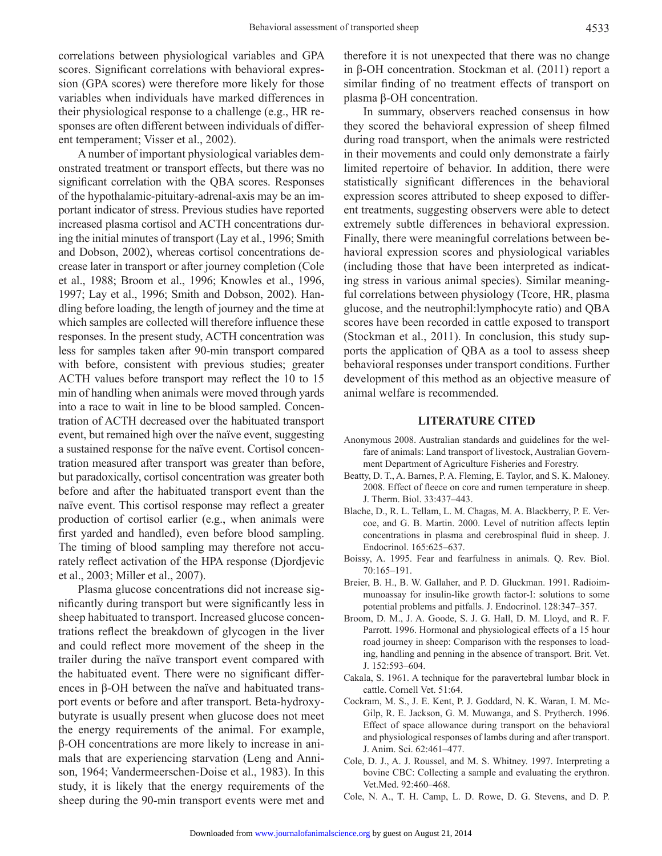correlations between physiological variables and GPA scores. Significant correlations with behavioral expression (GPA scores) were therefore more likely for those variables when individuals have marked differences in their physiological response to a challenge (e.g., HR responses are often different between individuals of different temperament; Visser et al., 2002).

A number of important physiological variables demonstrated treatment or transport effects, but there was no significant correlation with the QBA scores. Responses of the hypothalamic-pituitary-adrenal-axis may be an important indicator of stress. Previous studies have reported increased plasma cortisol and ACTH concentrations during the initial minutes of transport (Lay et al., 1996; Smith and Dobson, 2002), whereas cortisol concentrations decrease later in transport or after journey completion (Cole et al., 1988; Broom et al., 1996; Knowles et al., 1996, 1997; Lay et al., 1996; Smith and Dobson, 2002). Handling before loading, the length of journey and the time at which samples are collected will therefore influence these responses. In the present study, ACTH concentration was less for samples taken after 90-min transport compared with before, consistent with previous studies; greater ACTH values before transport may reflect the 10 to 15 min of handling when animals were moved through yards into a race to wait in line to be blood sampled. Concentration of ACTH decreased over the habituated transport event, but remained high over the naïve event, suggesting a sustained response for the naïve event. Cortisol concentration measured after transport was greater than before, but paradoxically, cortisol concentration was greater both before and after the habituated transport event than the naïve event. This cortisol response may reflect a greater production of cortisol earlier (e.g., when animals were first yarded and handled), even before blood sampling. The timing of blood sampling may therefore not accurately reflect activation of the HPA response (Djordjevic et al., 2003; Miller et al., 2007).

Plasma glucose concentrations did not increase significantly during transport but were significantly less in sheep habituated to transport. Increased glucose concentrations reflect the breakdown of glycogen in the liver and could reflect more movement of the sheep in the trailer during the naïve transport event compared with the habituated event. There were no significant differences in β-OH between the naïve and habituated transport events or before and after transport. Beta-hydroxybutyrate is usually present when glucose does not meet the energy requirements of the animal. For example, β-OH concentrations are more likely to increase in animals that are experiencing starvation (Leng and Annison, 1964; Vandermeerschen-Doise et al., 1983). In this study, it is likely that the energy requirements of the sheep during the 90-min transport events were met and

therefore it is not unexpected that there was no change in β-OH concentration. Stockman et al. (2011) report a similar finding of no treatment effects of transport on plasma β-OH concentration.

In summary, observers reached consensus in how they scored the behavioral expression of sheep filmed during road transport, when the animals were restricted in their movements and could only demonstrate a fairly limited repertoire of behavior. In addition, there were statistically significant differences in the behavioral expression scores attributed to sheep exposed to different treatments, suggesting observers were able to detect extremely subtle differences in behavioral expression. Finally, there were meaningful correlations between behavioral expression scores and physiological variables (including those that have been interpreted as indicating stress in various animal species). Similar meaningful correlations between physiology (Tcore, HR, plasma glucose, and the neutrophil:lymphocyte ratio) and QBA scores have been recorded in cattle exposed to transport (Stockman et al., 2011). In conclusion, this study supports the application of QBA as a tool to assess sheep behavioral responses under transport conditions. Further development of this method as an objective measure of animal welfare is recommended.

#### **LITERATURE CITED**

- Anonymous 2008. Australian standards and guidelines for the welfare of animals: Land transport of livestock, Australian Government Department of Agriculture Fisheries and Forestry.
- Beatty, D. T., A. Barnes, P. A. Fleming, E. Taylor, and S. K. Maloney. 2008. Effect of fleece on core and rumen temperature in sheep. J. Therm. Biol. 33:437–443.
- Blache, D., R. L. Tellam, L. M. Chagas, M. A. Blackberry, P. E. Vercoe, and G. B. Martin. 2000. Level of nutrition affects leptin concentrations in plasma and cerebrospinal fluid in sheep. J. Endocrinol. 165:625–637.
- Boissy, A. 1995. Fear and fearfulness in animals. Q. Rev. Biol. 70:165–191.
- Breier, B. H., B. W. Gallaher, and P. D. Gluckman. 1991. Radioimmunoassay for insulin-like growth factor-I: solutions to some potential problems and pitfalls. J. Endocrinol. 128:347–357.
- Broom, D. M., J. A. Goode, S. J. G. Hall, D. M. Lloyd, and R. F. Parrott. 1996. Hormonal and physiological effects of a 15 hour road journey in sheep: Comparison with the responses to loading, handling and penning in the absence of transport. Brit. Vet. J. 152:593–604.
- Cakala, S. 1961. A technique for the paravertebral lumbar block in cattle. Cornell Vet. 51:64.
- Cockram, M. S., J. E. Kent, P. J. Goddard, N. K. Waran, I. M. Mc-Gilp, R. E. Jackson, G. M. Muwanga, and S. Prytherch. 1996. Effect of space allowance during transport on the behavioral and physiological responses of lambs during and after transport. J. Anim. Sci. 62:461–477.
- Cole, D. J., A. J. Roussel, and M. S. Whitney. 1997. Interpreting a bovine CBC: Collecting a sample and evaluating the erythron. Vet.Med. 92:460–468.
- Cole, N. A., T. H. Camp, L. D. Rowe, D. G. Stevens, and D. P.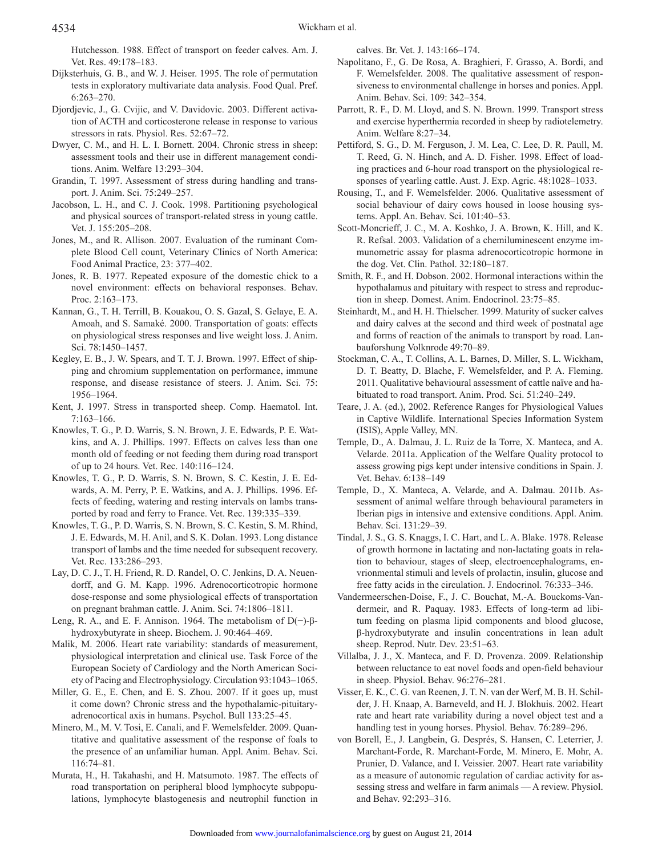Hutchesson. 1988. Effect of transport on feeder calves. Am. J. Vet. Res. 49:178–183.

- Dijksterhuis, G. B., and W. J. Heiser. 1995. The role of permutation tests in exploratory multivariate data analysis. Food Qual. Pref. 6:263–270.
- Djordjevic, J., G. Cvijic, and V. Davidovic. 2003. Different activation of ACTH and corticosterone release in response to various stressors in rats. Physiol. Res. 52:67–72.
- Dwyer, C. M., and H. L. I. Bornett. 2004. Chronic stress in sheep: assessment tools and their use in different management conditions. Anim. Welfare 13:293–304.
- Grandin, T. 1997. Assessment of stress during handling and transport. J. Anim. Sci. 75:249–257.
- Jacobson, L. H., and C. J. Cook. 1998. Partitioning psychological and physical sources of transport-related stress in young cattle. Vet. J. 155:205–208.
- Jones, M., and R. Allison. 2007. Evaluation of the ruminant Complete Blood Cell count, Veterinary Clinics of North America: Food Animal Practice, 23: 377–402.
- Jones, R. B. 1977. Repeated exposure of the domestic chick to a novel environment: effects on behavioral responses. Behav. Proc. 2:163–173.
- Kannan, G., T. H. Terrill, B. Kouakou, O. S. Gazal, S. Gelaye, E. A. Amoah, and S. Samaké. 2000. Transportation of goats: effects on physiological stress responses and live weight loss. J. Anim. Sci. 78:1450–1457.
- Kegley, E. B., J. W. Spears, and T. T. J. Brown. 1997. Effect of shipping and chromium supplementation on performance, immune response, and disease resistance of steers. J. Anim. Sci. 75: 1956–1964.
- Kent, J. 1997. Stress in transported sheep. Comp. Haematol. Int. 7:163–166.
- Knowles, T. G., P. D. Warris, S. N. Brown, J. E. Edwards, P. E. Watkins, and A. J. Phillips. 1997. Effects on calves less than one month old of feeding or not feeding them during road transport of up to 24 hours. Vet. Rec. 140:116–124.
- Knowles, T. G., P. D. Warris, S. N. Brown, S. C. Kestin, J. E. Edwards, A. M. Perry, P. E. Watkins, and A. J. Phillips. 1996. Effects of feeding, watering and resting intervals on lambs transported by road and ferry to France. Vet. Rec. 139:335–339.
- Knowles, T. G., P. D. Warris, S. N. Brown, S. C. Kestin, S. M. Rhind, J. E. Edwards, M. H. Anil, and S. K. Dolan. 1993. Long distance transport of lambs and the time needed for subsequent recovery. Vet. Rec. 133:286–293.
- Lay, D. C. J., T. H. Friend, R. D. Randel, O. C. Jenkins, D. A. Neuendorff, and G. M. Kapp. 1996. Adrenocorticotropic hormone dose-response and some physiological effects of transportation on pregnant brahman cattle. J. Anim. Sci. 74:1806–1811.
- Leng, R. A., and E. F. Annison. 1964. The metabolism of D(−)-βhydroxybutyrate in sheep. Biochem. J. 90:464–469.
- Malik, M. 2006. Heart rate variability: standards of measurement, physiological interpretation and clinical use. Task Force of the European Society of Cardiology and the North American Society of Pacing and Electrophysiology. Circulation 93:1043–1065.
- Miller, G. E., E. Chen, and E. S. Zhou. 2007. If it goes up, must it come down? Chronic stress and the hypothalamic-pituitaryadrenocortical axis in humans. Psychol. Bull 133:25–45.
- Minero, M., M. V. Tosi, E. Canali, and F. Wemelsfelder. 2009. Quantitative and qualitative assessment of the response of foals to the presence of an unfamiliar human. Appl. Anim. Behav. Sci. 116:74–81.
- Murata, H., H. Takahashi, and H. Matsumoto. 1987. The effects of road transportation on peripheral blood lymphocyte subpopulations, lymphocyte blastogenesis and neutrophil function in

calves. Br. Vet. J. 143:166–174.

- Napolitano, F., G. De Rosa, A. Braghieri, F. Grasso, A. Bordi, and F. Wemelsfelder. 2008. The qualitative assessment of responsiveness to environmental challenge in horses and ponies. Appl. Anim. Behav. Sci. 109: 342–354.
- Parrott, R. F., D. M. Lloyd, and S. N. Brown. 1999. Transport stress and exercise hyperthermia recorded in sheep by radiotelemetry. Anim. Welfare 8:27–34.
- Pettiford, S. G., D. M. Ferguson, J. M. Lea, C. Lee, D. R. Paull, M. T. Reed, G. N. Hinch, and A. D. Fisher. 1998. Effect of loading practices and 6-hour road transport on the physiological responses of yearling cattle. Aust. J. Exp. Agric. 48:1028–1033.
- Rousing, T., and F. Wemelsfelder. 2006. Qualitative assessment of social behaviour of dairy cows housed in loose housing systems. Appl. An. Behav. Sci. 101:40–53.
- Scott-Moncrieff, J. C., M. A. Koshko, J. A. Brown, K. Hill, and K. R. Refsal. 2003. Validation of a chemiluminescent enzyme immunometric assay for plasma adrenocorticotropic hormone in the dog. Vet. Clin. Pathol. 32:180–187.
- Smith, R. F., and H. Dobson. 2002. Hormonal interactions within the hypothalamus and pituitary with respect to stress and reproduction in sheep. Domest. Anim. Endocrinol. 23:75–85.
- Steinhardt, M., and H. H. Thielscher. 1999. Maturity of sucker calves and dairy calves at the second and third week of postnatal age and forms of reaction of the animals to transport by road. Lanbauforshung Volknrode 49:70–89.
- Stockman, C. A., T. Collins, A. L. Barnes, D. Miller, S. L. Wickham, D. T. Beatty, D. Blache, F. Wemelsfelder, and P. A. Fleming. 2011. Qualitative behavioural assessment of cattle naïve and habituated to road transport. Anim. Prod. Sci. 51:240–249.
- Teare, J. A. (ed.), 2002. Reference Ranges for Physiological Values in Captive Wildlife. International Species Information System (ISIS), Apple Valley, MN.
- Temple, D., A. Dalmau, J. L. Ruiz de la Torre, X. Manteca, and A. Velarde. 2011a. Application of the Welfare Quality protocol to assess growing pigs kept under intensive conditions in Spain. J. Vet. Behav. 6:138–149
- Temple, D., X. Manteca, A. Velarde, and A. Dalmau. 2011b. Assessment of animal welfare through behavioural parameters in Iberian pigs in intensive and extensive conditions. Appl. Anim. Behav. Sci. 131:29–39.
- Tindal, J. S., G. S. Knaggs, I. C. Hart, and L. A. Blake. 1978. Release of growth hormone in lactating and non-lactating goats in relation to behaviour, stages of sleep, electroencephalograms, envrionmental stimuli and levels of prolactin, insulin, glucose and free fatty acids in the circulation. J. Endocrinol. 76:333–346.
- Vandermeerschen-Doise, F., J. C. Bouchat, M.-A. Bouckoms-Vandermeir, and R. Paquay. 1983. Effects of long-term ad libitum feeding on plasma lipid components and blood glucose, β-hydroxybutyrate and insulin concentrations in lean adult sheep. Reprod. Nutr. Dev. 23:51–63.
- Villalba, J. J., X. Manteca, and F. D. Provenza. 2009. Relationship between reluctance to eat novel foods and open-field behaviour in sheep. Physiol. Behav. 96:276–281.
- Visser, E. K., C. G. van Reenen, J. T. N. van der Werf, M. B. H. Schilder, J. H. Knaap, A. Barneveld, and H. J. Blokhuis. 2002. Heart rate and heart rate variability during a novel object test and a handling test in young horses. Physiol. Behav. 76:289–296.
- von Borell, E., J. Langbein, G. Després, S. Hansen, C. Leterrier, J. Marchant-Forde, R. Marchant-Forde, M. Minero, E. Mohr, A. Prunier, D. Valance, and I. Veissier. 2007. Heart rate variability as a measure of autonomic regulation of cardiac activity for assessing stress and welfare in farm animals — A review. Physiol. and Behav. 92:293–316.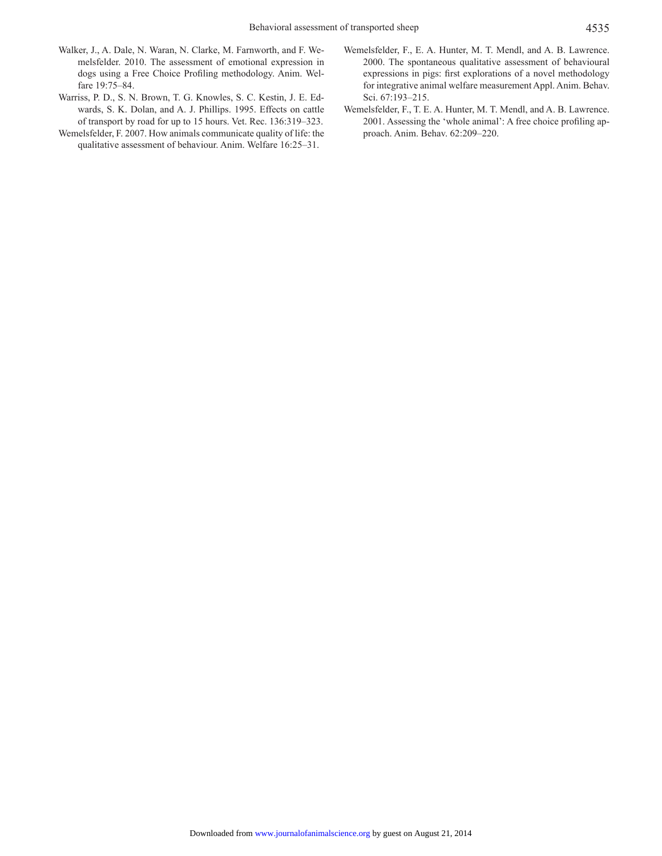- Walker, J., A. Dale, N. Waran, N. Clarke, M. Farnworth, and F. Wemelsfelder. 2010. The assessment of emotional expression in dogs using a Free Choice Profiling methodology. Anim. Welfare 19:75–84.
- Warriss, P. D., S. N. Brown, T. G. Knowles, S. C. Kestin, J. E. Edwards, S. K. Dolan, and A. J. Phillips. 1995. Effects on cattle of transport by road for up to 15 hours. Vet. Rec. 136:319–323.
- Wemelsfelder, F. 2007. How animals communicate quality of life: the qualitative assessment of behaviour. Anim. Welfare 16:25–31.
- Wemelsfelder, F., E. A. Hunter, M. T. Mendl, and A. B. Lawrence. 2000. The spontaneous qualitative assessment of behavioural expressions in pigs: first explorations of a novel methodology for integrative animal welfare measurement Appl. Anim. Behav. Sci. 67:193–215.
- Wemelsfelder, F., T. E. A. Hunter, M. T. Mendl, and A. B. Lawrence. 2001. Assessing the 'whole animal': A free choice profiling approach. Anim. Behav. 62:209–220.